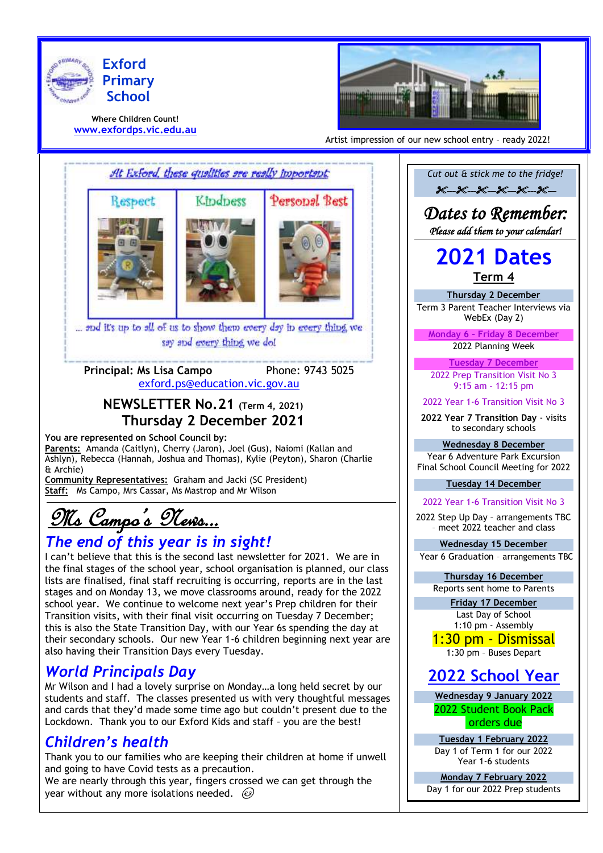

**Where Children Count! [www.exfordps.vic.edu.au](http://www.exfordps.vic.edu.au/)**



Artist impression of our new school entry – ready 2022!



the final stages of the school year, school organisation is planned, our class lists are finalised, final staff recruiting is occurring, reports are in the last stages and on Monday 13, we move classrooms around, ready for the 2022 school year. We continue to welcome next year's Prep children for their Transition visits, with their final visit occurring on Tuesday 7 December; this is also the State Transition Day, with our Year 6s spending the day at their secondary schools. Our new Year 1-6 children beginning next year are also having their Transition Days every Tuesday.

## *World Principals Day*

Mr Wilson and I had a lovely surprise on Monday…a long held secret by our students and staff. The classes presented us with very thoughtful messages and cards that they'd made some time ago but couldn't present due to the Lockdown. Thank you to our Exford Kids and staff – you are the best!

## *Children's health*

Thank you to our families who are keeping their children at home if unwell and going to have Covid tests as a precaution.

We are nearly through this year, fingers crossed we can get through the year without any more isolations needed.  $\omega$ 

*Cut out & stick me to the fridge! ------------------ Dates to Remember: Please add them to your calendar!*  **2021 Dates Term 4 Thursday 2 December** Term 3 Parent Teacher Interviews via WebEx (Day 2) **Monday 6 – Friday 8 December** 2022 Planning Week **Tuesday 7 December** 2022 Prep Transition Visit No 3 9:15 am – 12:15 pm 2022 Year 1-6 Transition Visit No 3 **2022 Year 7 Transition Day** - visits to secondary schools **Wednesday 8 December** Year 6 Adventure Park Excursion Final School Council Meeting for 2022 **Tuesday 14 December** 2022 Year 1-6 Transition Visit No 3 2022 Step Up Day – arrangements TBC – meet 2022 teacher and class **Wednesday 15 December** Year 6 Graduation – arrangements TBC **Thursday 16 December** Reports sent home to Parents **Friday 17 December** Last Day of School 1:10 pm - Assembly 1:30 pm - Dismissal 1:30 pm – Buses Depart **2022 School Year Wednesday 9 January 2022** 2022 Student Book Pack orders due **Tuesday 1 February 2022** Day 1 of Term 1 for our 2022 Year 1-6 students

**Monday 7 February 2022** Day 1 for our 2022 Prep students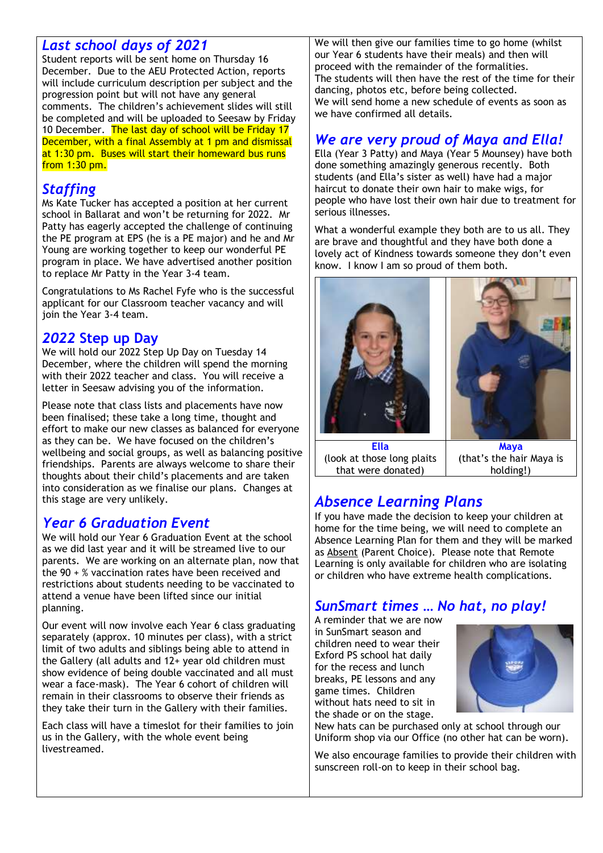## *Last school days of 2021*

Student reports will be sent home on Thursday 16 December. Due to the AEU Protected Action, reports will include curriculum description per subject and the progression point but will not have any general comments. The children's achievement slides will still be completed and will be uploaded to Seesaw by Friday 10 December. The last day of school will be Friday 17 December, with a final Assembly at 1 pm and dismissal at 1:30 pm. Buses will start their homeward bus runs from 1:30 pm.

## *Staffing*

Ms Kate Tucker has accepted a position at her current school in Ballarat and won't be returning for 2022. Mr Patty has eagerly accepted the challenge of continuing the PE program at EPS (he is a PE major) and he and Mr Young are working together to keep our wonderful PE program in place. We have advertised another position to replace Mr Patty in the Year 3-4 team.

Congratulations to Ms Rachel Fyfe who is the successful applicant for our Classroom teacher vacancy and will join the Year 3-4 team.

## *2022* **Step up Day**

We will hold our 2022 Step Up Day on Tuesday 14 December, where the children will spend the morning with their 2022 teacher and class. You will receive a letter in Seesaw advising you of the information.

Please note that class lists and placements have now been finalised; these take a long time, thought and effort to make our new classes as balanced for everyone as they can be. We have focused on the children's wellbeing and social groups, as well as balancing positive friendships. Parents are always welcome to share their thoughts about their child's placements and are taken into consideration as we finalise our plans. Changes at this stage are very unlikely.

## *Year 6 Graduation Event*

We will hold our Year 6 Graduation Event at the school as we did last year and it will be streamed live to our parents. We are working on an alternate plan, now that the 90 + % vaccination rates have been received and restrictions about students needing to be vaccinated to attend a venue have been lifted since our initial planning.

Our event will now involve each Year 6 class graduating separately (approx. 10 minutes per class), with a strict limit of two adults and siblings being able to attend in the Gallery (all adults and 12+ year old children must show evidence of being double vaccinated and all must wear a face-mask). The Year 6 cohort of children will remain in their classrooms to observe their friends as they take their turn in the Gallery with their families.

Each class will have a timeslot for their families to join us in the Gallery, with the whole event being livestreamed.

We will then give our families time to go home (whilst our Year 6 students have their meals) and then will proceed with the remainder of the formalities. The students will then have the rest of the time for their dancing, photos etc, before being collected. We will send home a new schedule of events as soon as we have confirmed all details.

## *We are very proud of Maya and Ella!*

Ella (Year 3 Patty) and Maya (Year 5 Mounsey) have both done something amazingly generous recently. Both students (and Ella's sister as well) have had a major haircut to donate their own hair to make wigs, for people who have lost their own hair due to treatment for serious illnesses.

What a wonderful example they both are to us all. They are brave and thoughtful and they have both done a lovely act of Kindness towards someone they don't even know. I know I am so proud of them both.





**Ella** (look at those long plaits that were donated)

**Maya** (that's the hair Maya is holding!)

## *Absence Learning Plans*

If you have made the decision to keep your children at home for the time being, we will need to complete an Absence Learning Plan for them and they will be marked as Absent (Parent Choice). Please note that Remote Learning is only available for children who are isolating or children who have extreme health complications.

## *SunSmart times … No hat, no play!*

A reminder that we are now in SunSmart season and children need to wear their Exford PS school hat daily for the recess and lunch breaks, PE lessons and any game times. Children without hats need to sit in the shade or on the stage.



New hats can be purchased only at school through our Uniform shop via our Office (no other hat can be worn).

We also encourage families to provide their children with sunscreen roll-on to keep in their school bag.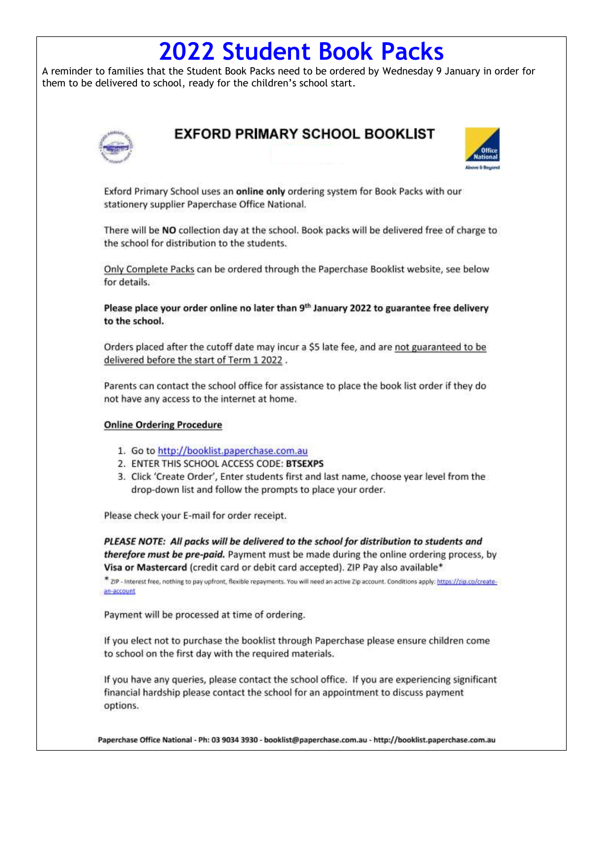## **2022 Student Book Packs**

A reminder to families that the Student Book Packs need to be ordered by Wednesday 9 January in order for them to be delivered to school, ready for the children's school start.



## **EXFORD PRIMARY SCHOOL BOOKLIST**



Exford Primary School uses an online only ordering system for Book Packs with our stationery supplier Paperchase Office National.

There will be NO collection day at the school. Book packs will be delivered free of charge to the school for distribution to the students.

Only Complete Packs can be ordered through the Paperchase Booklist website, see below for details.

Please place your order online no later than 9th January 2022 to guarantee free delivery to the school.

Orders placed after the cutoff date may incur a \$5 late fee, and are not guaranteed to be delivered before the start of Term 1 2022.

Parents can contact the school office for assistance to place the book list order if they do not have any access to the internet at home.

### **Online Ordering Procedure**

- 1. Go to http://booklist.paperchase.com.au
- 2. ENTER THIS SCHOOL ACCESS CODE: BTSEXPS
- 3. Click 'Create Order', Enter students first and last name, choose year level from the drop-down list and follow the prompts to place your order.

Please check your E-mail for order receipt.

PLEASE NOTE: All packs will be delivered to the school for distribution to students and therefore must be pre-paid. Payment must be made during the online ordering process, by Visa or Mastercard (credit card or debit card accepted). ZIP Pay also available\*

\* ZIP - Interest free, nothing to pay upfront, flexible repayments. You will need an active Zip account. Conditions apply: https://zip.co/createan-account

Payment will be processed at time of ordering.

If you elect not to purchase the booklist through Paperchase please ensure children come to school on the first day with the required materials.

If you have any queries, please contact the school office. If you are experiencing significant financial hardship please contact the school for an appointment to discuss payment options.

Paperchase Office National - Ph: 03 9034 3930 - booklist@paperchase.com.au - http://booklist.paperchase.com.au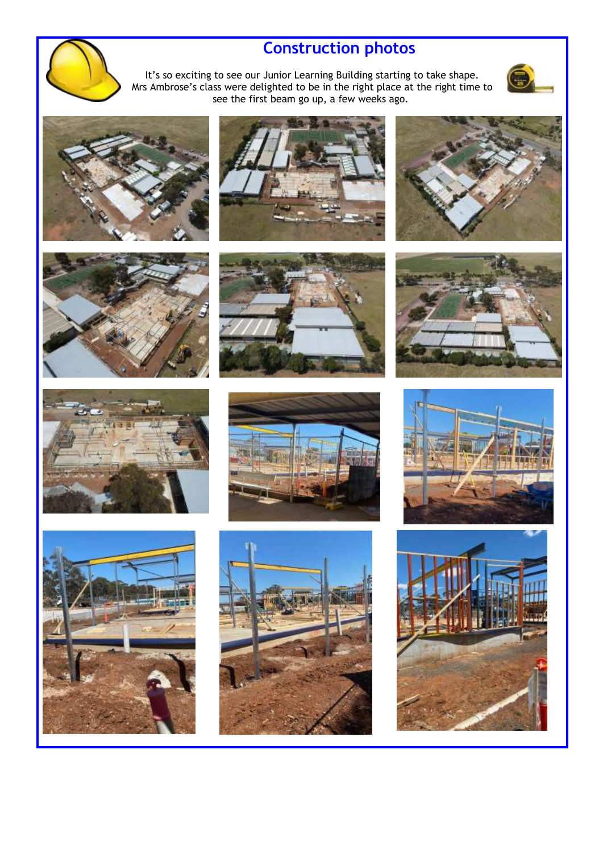## **Construction photos**

It's so exciting to see our Junior Learning Building starting to take shape. Mrs Ambrose's class were delighted to be in the right place at the right time to see the first beam go up, a few weeks ago.

























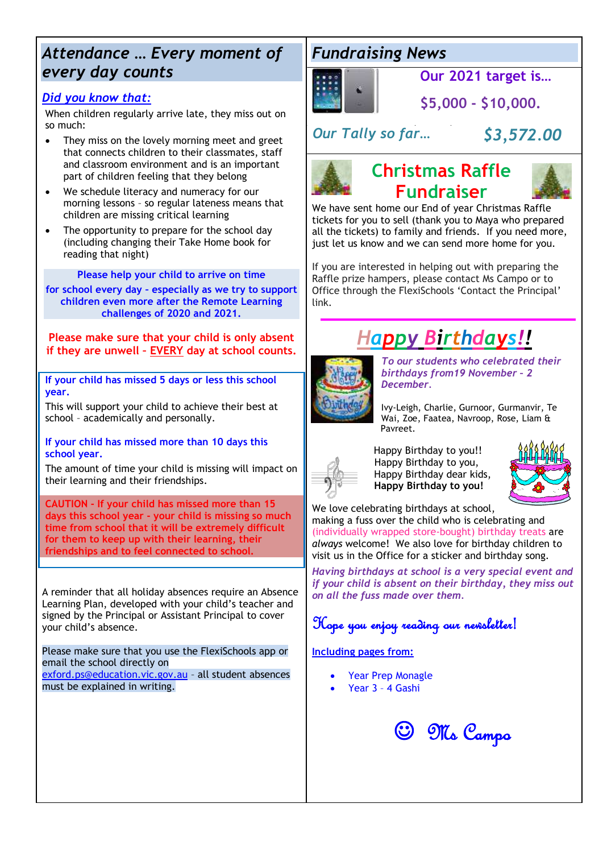## *Attendance … Every moment of every day counts*

## *Did you know that:*

When children regularly arrive late, they miss out on so much:

- They miss on the lovely morning meet and greet that connects children to their classmates, staff and classroom environment and is an important part of children feeling that they belong
- We schedule literacy and numeracy for our morning lessons – so regular lateness means that children are missing critical learning
- The opportunity to prepare for the school day (including changing their Take Home book for reading that night)

**Please help your child to arrive on time for school every day – especially as we try to support children even more after the Remote Learning challenges of 2020 and 2021.**

**Please make sure that your child is only absent if they are unwell – EVERY day at school counts.**

**If your child has missed 5 days or less this school year.**

This will support your child to achieve their best at school – academically and personally.

**If your child has missed more than 10 days this school year.**

The amount of time your child is missing will impact on their learning and their friendships.

**CAUTION - If your child has missed more than 15 days this school year - your child is missing so much time from school that it will be extremely difficult for them to keep up with their learning, their friendships and to feel connected to school.** 

A reminder that all holiday absences require an Absence Learning Plan, developed with your child's teacher and signed by the Principal or Assistant Principal to cover your child's absence.

Please make sure that you use the FlexiSchools app or email the school directly on

[exford.ps@education.vic.gov.au](mailto:exford.ps@education.vic.gov.au) – all student absences must be explained in writing.

## *Fundraising News*



**Our 2021 target is…** 

**\$5,000 - \$10,000.**

*Our Tally so far… \$3,572.00*



## **Christmas Raffle Fundraiser**



We have sent home our End of year Christmas Raffle tickets for you to sell (thank you to Maya who prepared all the tickets) to family and friends. If you need more, just let us know and we can send more home for you.

If you are interested in helping out with preparing the Raffle prize hampers, please contact Ms Campo or to Office through the FlexiSchools 'Contact the Principal' link.

## *Happy Birthdays!!*



*To our students who celebrated their birthdays from19 November – 2 December.* 

Ivy-Leigh, Charlie, Gurnoor, Gurmanvir, Te Wai, Zoe, Faatea, Navroop, Rose, Liam & Pavreet.



 Happy Birthday to you!! Happy Birthday to you, Happy Birthday dear kids,  **Happy Birthday to you!**



We love celebrating birthdays at school,

making a fuss over the child who is celebrating and (individually wrapped store-bought) birthday treats are *always* welcome! We also love for birthday children to visit us in the Office for a sticker and birthday song.

*Having birthdays at school is a very special event and if your child is absent on their birthday, they miss out on all the fuss made over them.*

Hope you enjoy reading our newsletter!

### **Including pages from:**

- Year Prep Monagle
- Year 3 4 Gashi

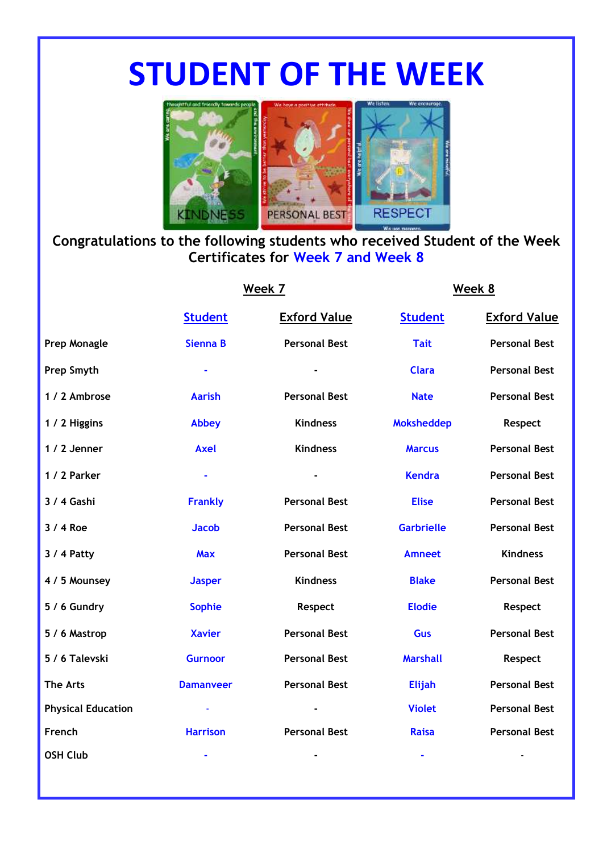# **STUDENT OF THE WEEK**



## **Congratulations to the following students who received Student of the Week Certificates for Week 7 and Week 8**

|                           | Week 7           |                      | Week 8            |                      |
|---------------------------|------------------|----------------------|-------------------|----------------------|
|                           | <b>Student</b>   | <b>Exford Value</b>  | <b>Student</b>    | <b>Exford Value</b>  |
| Prep Monagle              | <b>Sienna B</b>  | <b>Personal Best</b> | <b>Tait</b>       | <b>Personal Best</b> |
| Prep Smyth                |                  |                      | <b>Clara</b>      | <b>Personal Best</b> |
| 1 / 2 Ambrose             | <b>Aarish</b>    | <b>Personal Best</b> | <b>Nate</b>       | <b>Personal Best</b> |
| 1 / 2 Higgins             | <b>Abbey</b>     | <b>Kindness</b>      | <b>Moksheddep</b> | Respect              |
| 1 / 2 Jenner              | Axel             | <b>Kindness</b>      | <b>Marcus</b>     | <b>Personal Best</b> |
| 1 / 2 Parker              |                  |                      | <b>Kendra</b>     | <b>Personal Best</b> |
| 3 / 4 Gashi               | <b>Frankly</b>   | <b>Personal Best</b> | <b>Elise</b>      | <b>Personal Best</b> |
| 3 / 4 Roe                 | <b>Jacob</b>     | <b>Personal Best</b> | <b>Garbrielle</b> | <b>Personal Best</b> |
| 3 / 4 Patty               | <b>Max</b>       | <b>Personal Best</b> | <b>Amneet</b>     | <b>Kindness</b>      |
| 4 / 5 Mounsey             | <b>Jasper</b>    | <b>Kindness</b>      | <b>Blake</b>      | <b>Personal Best</b> |
| 5 / 6 Gundry              | <b>Sophie</b>    | Respect              | <b>Elodie</b>     | Respect              |
| 5 / 6 Mastrop             | <b>Xavier</b>    | <b>Personal Best</b> | Gus               | <b>Personal Best</b> |
| 5 / 6 Talevski            | <b>Gurnoor</b>   | <b>Personal Best</b> | <b>Marshall</b>   | Respect              |
| <b>The Arts</b>           | <b>Damanveer</b> | <b>Personal Best</b> | <b>Elijah</b>     | <b>Personal Best</b> |
| <b>Physical Education</b> |                  |                      | <b>Violet</b>     | <b>Personal Best</b> |
| French                    | <b>Harrison</b>  | <b>Personal Best</b> | <b>Raisa</b>      | <b>Personal Best</b> |
| <b>OSH Club</b>           |                  |                      |                   |                      |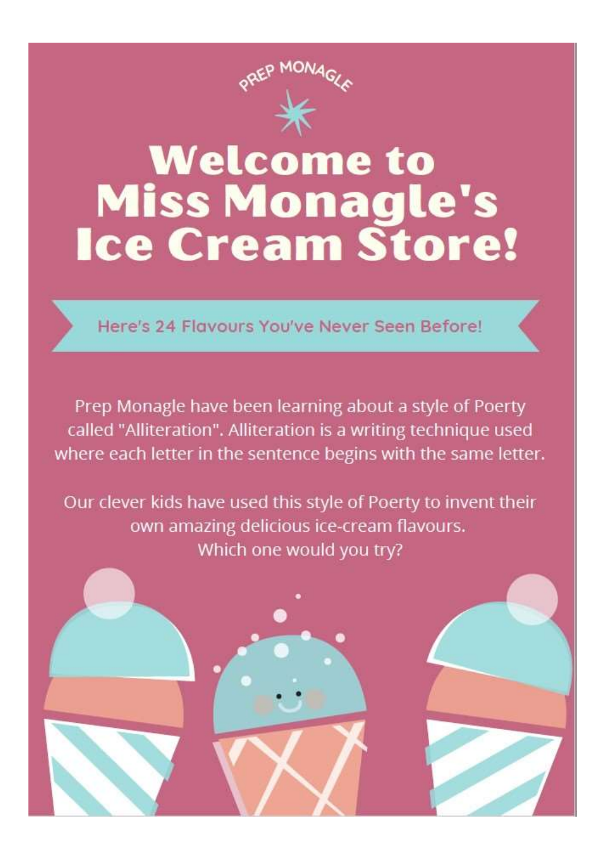

# **Welcome to Miss Monagle's Ice Cream Store!**

Here's 24 Flavours You've Never Seen Before!

Prep Monagle have been learning about a style of Poerty called "Alliteration". Alliteration is a writing technique used where each letter in the sentence begins with the same letter.

Our clever kids have used this style of Poerty to invent their own amazing delicious ice-cream flavours. Which one would you try?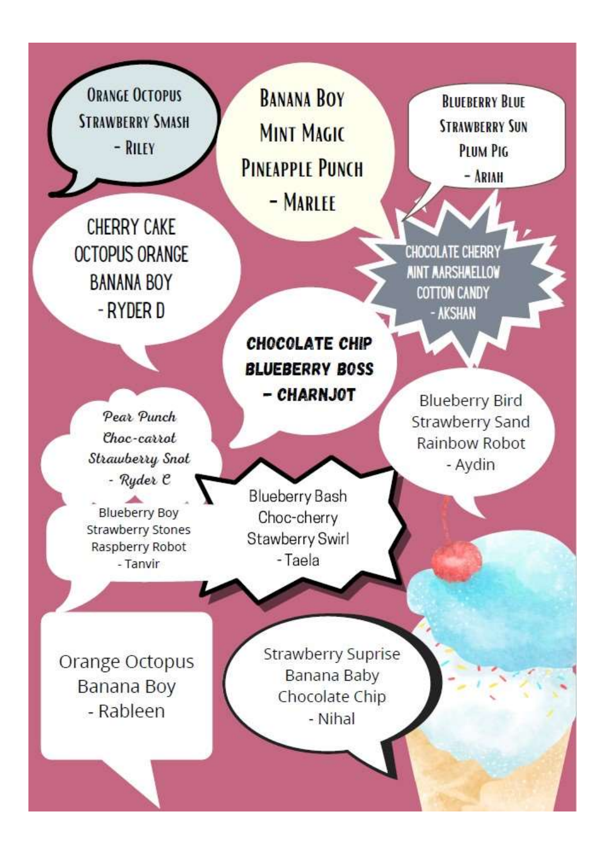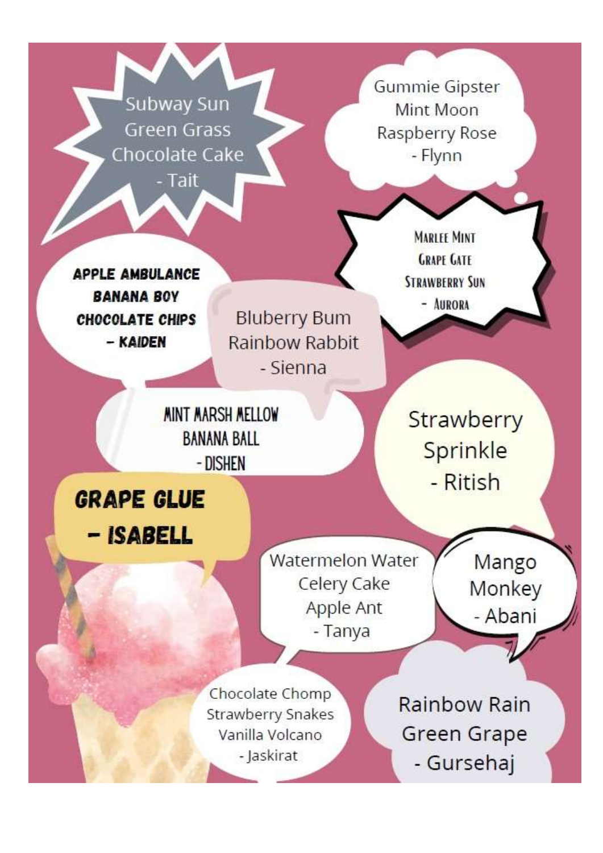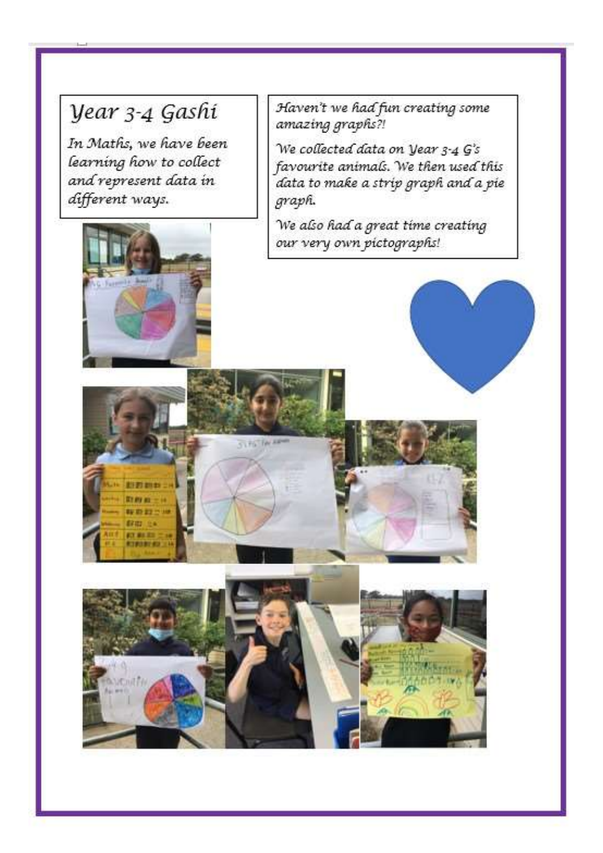## Year 3-4 Gashi

In Maths, we have been learning how to collect and represent data in different ways.



Haven't we had fun creating some amazing graphs?!

We collected data on Vear 3-4 G's favourite animals. We then used this data to make a strip graph and a pie graph.

We also had a great time creating our very own pictographs!



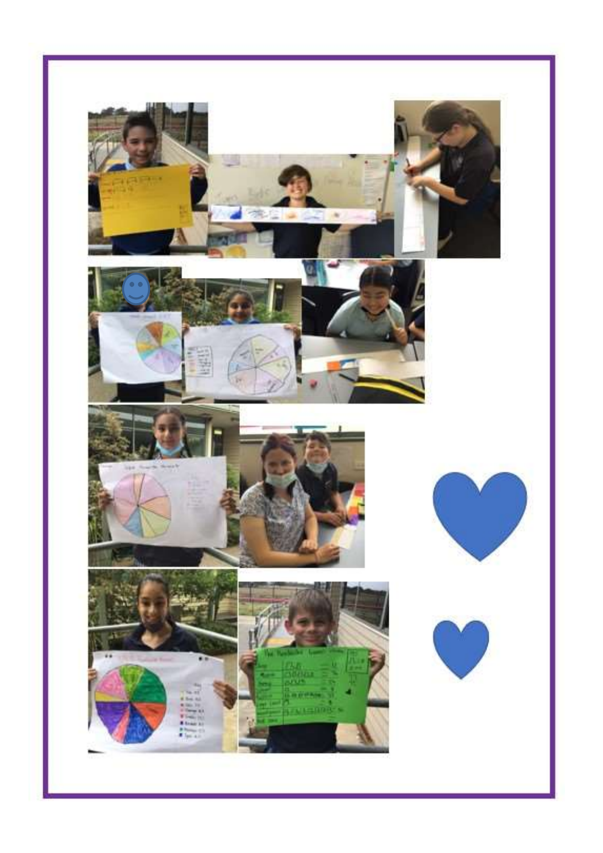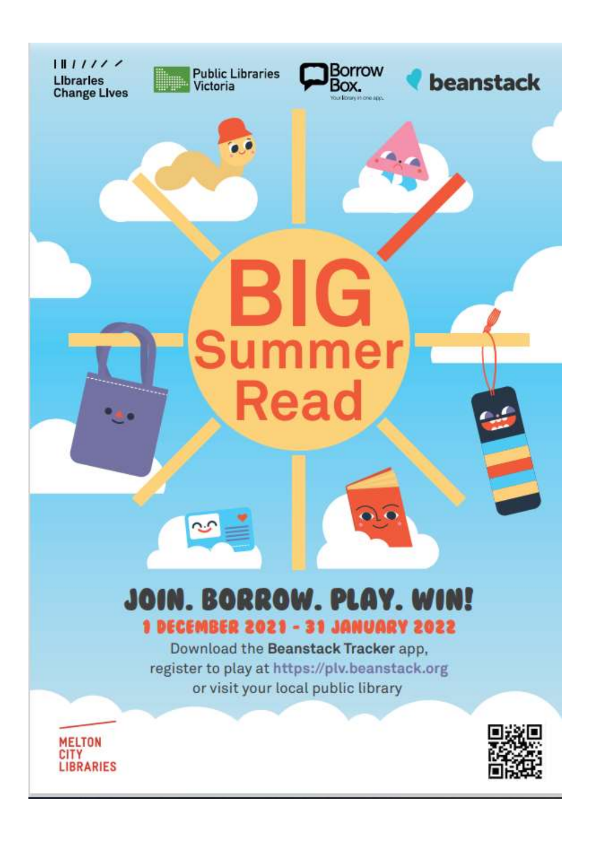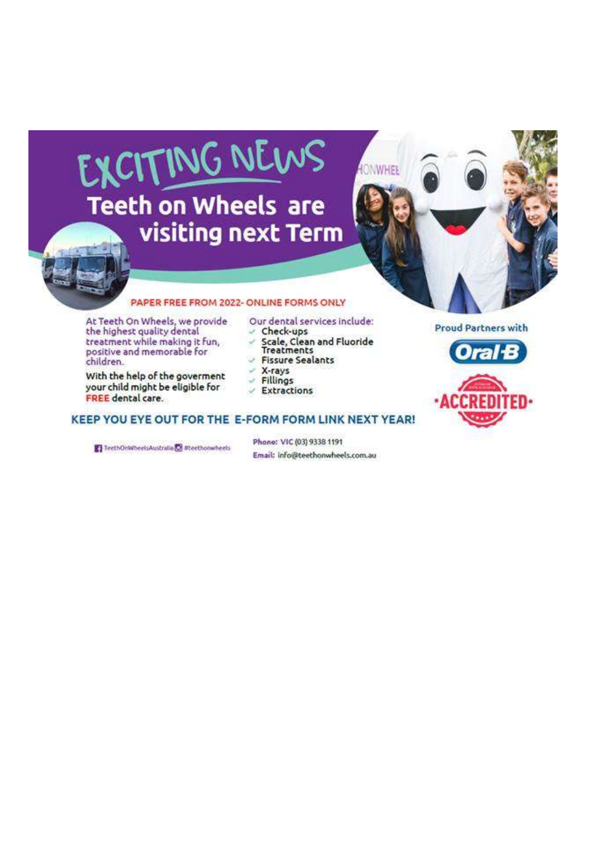# EXCITING NEWS **Teeth on Wheels are** visiting next Term



### PAPER FREE FROM 2022- ONLINE FORMS ONLY

At Teeth On Wheels, we provide<br>the highest quality dental treatment while making it fun, positive and memorable for children.

With the help of the goverment your child might be eligible for FREE dental care.

### Our dental services include:

- Check-ups
- Scale, Clean and Fluoride<br>Treatments
- Fissure Sealants
- X-rays
- Fillings
- Extractions
- 

### KEEP YOU EYE OUT FOR THE E-FORM FORM LINK NEXT YEAR!

TeethOnWheelsAustralia C steethonwheels

Phone: VIC (03) 9338 1191 Email: info@teethonwheels.com.au **Proud Partners with**